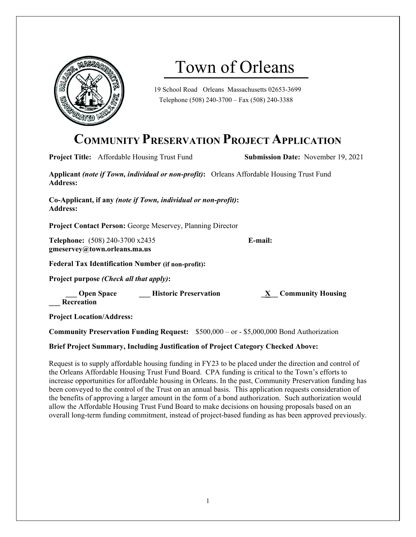

# Town of Orleans

19 School Road Orleans Massachusetts 02653-3699 Telephone (508) 240-3700 – Fax (508) 240-3388

# **COMMUNITY PRESERVATION PROJECT APPLICATION**

|                                                                                                                     | <b>Project Title:</b> Affordable Housing Trust Fund             | <b>Submission Date:</b> November 19, 2021 |  |
|---------------------------------------------------------------------------------------------------------------------|-----------------------------------------------------------------|-------------------------------------------|--|
| <b>Applicant (note if Town, individual or non-profit):</b> Orleans Affordable Housing Trust Fund<br><b>Address:</b> |                                                                 |                                           |  |
| Co-Applicant, if any (note if Town, individual or non-profit):<br><b>Address:</b>                                   |                                                                 |                                           |  |
| <b>Project Contact Person: George Meservey, Planning Director</b>                                                   |                                                                 |                                           |  |
|                                                                                                                     | Telephone: (508) 240-3700 x2435<br>gmeservey@town.orleans.ma.us | E-mail:                                   |  |
| <b>Federal Tax Identification Number (if non-profit):</b>                                                           |                                                                 |                                           |  |
| Project purpose <i>(Check all that apply)</i> :                                                                     |                                                                 |                                           |  |
| Recreation                                                                                                          | <b>Open Space Historic Preservation</b>                         | X Community Housing                       |  |

**Project Location/Address:** 

**Community Preservation Funding Request:** \$500,000 – or - \$5,000,000 Bond Authorization

**Brief Project Summary, Including Justification of Project Category Checked Above:** 

Request is to supply affordable housing funding in FY23 to be placed under the direction and control of the Orleans Affordable Housing Trust Fund Board. CPA funding is critical to the Town's efforts to increase opportunities for affordable housing in Orleans. In the past, Community Preservation funding has been conveyed to the control of the Trust on an annual basis. This application requests consideration of the benefits of approving a larger amount in the form of a bond authorization. Such authorization would allow the Affordable Housing Trust Fund Board to make decisions on housing proposals based on an overall long-term funding commitment, instead of project-based funding as has been approved previously.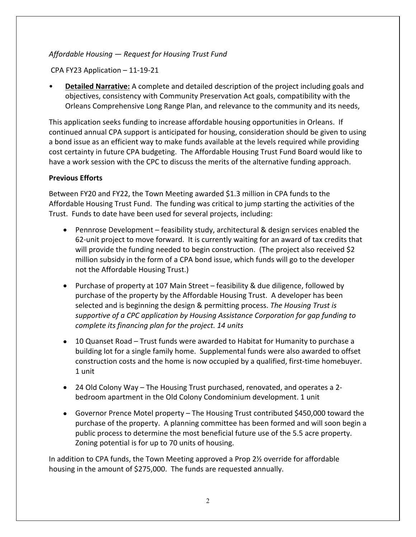### *Affordable Housing — Request for Housing Trust Fund*

CPA FY23 Application – 11-19-21

• **Detailed Narrative:** A complete and detailed description of the project including goals and objectives, consistency with Community Preservation Act goals, compatibility with the Orleans Comprehensive Long Range Plan, and relevance to the community and its needs,

This application seeks funding to increase affordable housing opportunities in Orleans. If continued annual CPA support is anticipated for housing, consideration should be given to using a bond issue as an efficient way to make funds available at the levels required while providing cost certainty in future CPA budgeting. The Affordable Housing Trust Fund Board would like to have a work session with the CPC to discuss the merits of the alternative funding approach.

#### **Previous Efforts**

Between FY20 and FY22, the Town Meeting awarded \$1.3 million in CPA funds to the Affordable Housing Trust Fund. The funding was critical to jump starting the activities of the Trust. Funds to date have been used for several projects, including:

- Pennrose Development feasibility study, architectural & design services enabled the 62-unit project to move forward. It is currently waiting for an award of tax credits that will provide the funding needed to begin construction. (The project also received \$2 million subsidy in the form of a CPA bond issue, which funds will go to the developer not the Affordable Housing Trust.)
- Purchase of property at 107 Main Street feasibility & due diligence, followed by purchase of the property by the Affordable Housing Trust. A developer has been selected and is beginning the design & permitting process. *The Housing Trust is supportive of a CPC application by Housing Assistance Corporation for gap funding to complete its financing plan for the project. 14 units*
- 10 Quanset Road Trust funds were awarded to Habitat for Humanity to purchase a building lot for a single family home. Supplemental funds were also awarded to offset construction costs and the home is now occupied by a qualified, first-time homebuyer. 1 unit
- 24 Old Colony Way The Housing Trust purchased, renovated, and operates a 2 bedroom apartment in the Old Colony Condominium development. 1 unit
- Governor Prence Motel property The Housing Trust contributed \$450,000 toward the purchase of the property. A planning committee has been formed and will soon begin a public process to determine the most beneficial future use of the 5.5 acre property. Zoning potential is for up to 70 units of housing.

In addition to CPA funds, the Town Meeting approved a Prop 2½ override for affordable housing in the amount of \$275,000. The funds are requested annually.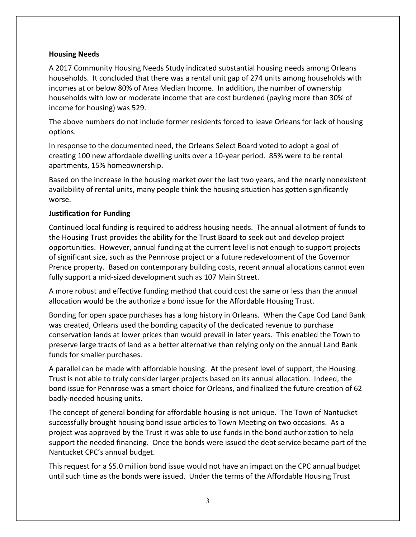#### **Housing Needs**

A 2017 Community Housing Needs Study indicated substantial housing needs among Orleans households. It concluded that there was a rental unit gap of 274 units among households with incomes at or below 80% of Area Median Income. In addition, the number of ownership households with low or moderate income that are cost burdened (paying more than 30% of income for housing) was 529.

The above numbers do not include former residents forced to leave Orleans for lack of housing options.

In response to the documented need, the Orleans Select Board voted to adopt a goal of creating 100 new affordable dwelling units over a 10-year period. 85% were to be rental apartments, 15% homeownership.

Based on the increase in the housing market over the last two years, and the nearly nonexistent availability of rental units, many people think the housing situation has gotten significantly worse.

#### **Justification for Funding**

Continued local funding is required to address housing needs. The annual allotment of funds to the Housing Trust provides the ability for the Trust Board to seek out and develop project opportunities. However, annual funding at the current level is not enough to support projects of significant size, such as the Pennrose project or a future redevelopment of the Governor Prence property. Based on contemporary building costs, recent annual allocations cannot even fully support a mid-sized development such as 107 Main Street.

A more robust and effective funding method that could cost the same or less than the annual allocation would be the authorize a bond issue for the Affordable Housing Trust.

Bonding for open space purchases has a long history in Orleans. When the Cape Cod Land Bank was created, Orleans used the bonding capacity of the dedicated revenue to purchase conservation lands at lower prices than would prevail in later years. This enabled the Town to preserve large tracts of land as a better alternative than relying only on the annual Land Bank funds for smaller purchases.

A parallel can be made with affordable housing. At the present level of support, the Housing Trust is not able to truly consider larger projects based on its annual allocation. Indeed, the bond issue for Pennrose was a smart choice for Orleans, and finalized the future creation of 62 badly-needed housing units.

The concept of general bonding for affordable housing is not unique. The Town of Nantucket successfully brought housing bond issue articles to Town Meeting on two occasions. As a project was approved by the Trust it was able to use funds in the bond authorization to help support the needed financing. Once the bonds were issued the debt service became part of the Nantucket CPC's annual budget.

This request for a \$5.0 million bond issue would not have an impact on the CPC annual budget until such time as the bonds were issued. Under the terms of the Affordable Housing Trust